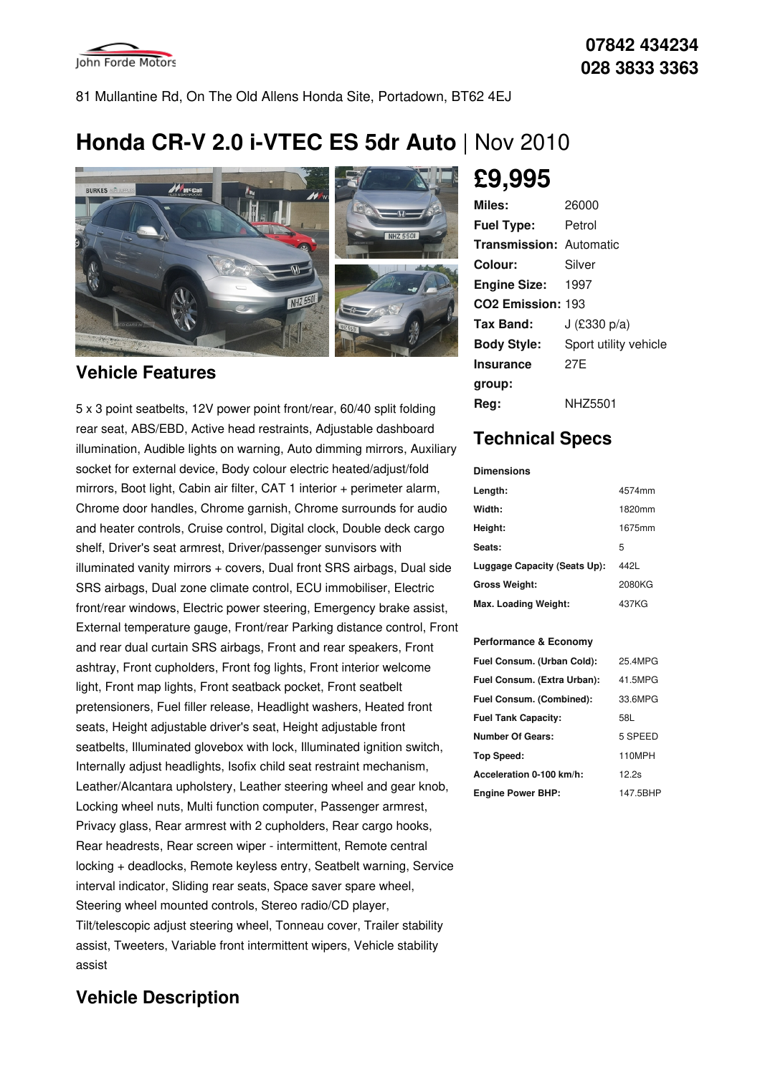

81 Mullantine Rd, On The Old Allens Honda Site, Portadown, BT62 4EJ

# **Honda CR-V 2.0 i-VTEC ES 5dr Auto** | Nov 2010



### **Vehicle Features**

5 x 3 point seatbelts, 12V power point front/rear, 60/40 split folding rear seat, ABS/EBD, Active head restraints, Adjustable dashboard illumination, Audible lights on warning, Auto dimming mirrors, Auxiliary socket for external device, Body colour electric heated/adjust/fold mirrors, Boot light, Cabin air filter, CAT 1 interior + perimeter alarm, Chrome door handles, Chrome garnish, Chrome surrounds for audio and heater controls, Cruise control, Digital clock, Double deck cargo shelf, Driver's seat armrest, Driver/passenger sunvisors with illuminated vanity mirrors + covers, Dual front SRS airbags, Dual side SRS airbags, Dual zone climate control, ECU immobiliser, Electric front/rear windows, Electric power steering, Emergency brake assist, External temperature gauge, Front/rear Parking distance control, Front and rear dual curtain SRS airbags, Front and rear speakers, Front ashtray, Front cupholders, Front fog lights, Front interior welcome light, Front map lights, Front seatback pocket, Front seatbelt pretensioners, Fuel filler release, Headlight washers, Heated front seats, Height adjustable driver's seat, Height adjustable front seatbelts, Illuminated glovebox with lock, Illuminated ignition switch, Internally adjust headlights, Isofix child seat restraint mechanism, Leather/Alcantara upholstery, Leather steering wheel and gear knob, Locking wheel nuts, Multi function computer, Passenger armrest, Privacy glass, Rear armrest with 2 cupholders, Rear cargo hooks, Rear headrests, Rear screen wiper - intermittent, Remote central locking + deadlocks, Remote keyless entry, Seatbelt warning, Service interval indicator, Sliding rear seats, Space saver spare wheel, Steering wheel mounted controls, Stereo radio/CD player, Tilt/telescopic adjust steering wheel, Tonneau cover, Trailer stability assist, Tweeters, Variable front intermittent wipers, Vehicle stability assist

### **Vehicle Description**

**£9,995**

| Miles:                         | 26000                 |
|--------------------------------|-----------------------|
| <b>Fuel Type:</b>              | Petrol                |
| <b>Transmission: Automatic</b> |                       |
| Colour:                        | Silver                |
| <b>Engine Size: 1997</b>       |                       |
| CO <sub>2</sub> Emission: 193  |                       |
| Tax Band:                      | J (£330 p/a)          |
| <b>Body Style:</b>             | Sport utility vehicle |
| <b>Insurance</b>               | 27F                   |
| group:                         |                       |
| Rea:                           | NHZ5501               |

## **Technical Specs**

#### **Dimensions**

| Length:                      | 4574mm |
|------------------------------|--------|
| Width:                       | 1820mm |
| Height:                      | 1675mm |
| Seats:                       | 5      |
| Luggage Capacity (Seats Up): | 442L   |
| <b>Gross Weight:</b>         | 2080KG |
| Max. Loading Weight:         | 437KG  |

#### **Performance & Economy**

| Fuel Consum. (Urban Cold):  | 25.4MPG  |
|-----------------------------|----------|
| Fuel Consum. (Extra Urban): | 41.5MPG  |
| Fuel Consum. (Combined):    | 33.6MPG  |
| <b>Fuel Tank Capacity:</b>  | 58L      |
| <b>Number Of Gears:</b>     | 5 SPEED  |
| Top Speed:                  | 110MPH   |
| Acceleration 0-100 km/h:    | 12.2s    |
| <b>Engine Power BHP:</b>    | 147.5BHP |